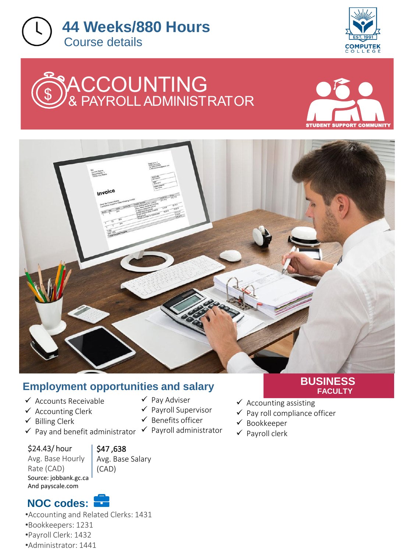



# & PAYROLL **ADMINISTRATION**  $\boldsymbol{\mathsf{A}}$ &





## **Employment opportunities and salary**

- ✓ Accounts Receivable
- $\checkmark$  Accounting Clerk
- ✓ Billing Clerk
- $\checkmark$  Pay and benefit administrator  $\checkmark$  Payroll administrator

### \$24.43/ hour

Avg. Base Hourly Rate (CAD) Source: jobbank.gc.ca And payscale.com

\$47 ,638

# Avg. Base Salary

(CAD)

# **NOC codes:**

•Accounting and Related Clerks: 1431 •Bookkeepers: 1231 •Payroll Clerk: 1432 •Administrator: 1441

### ✓ Pay Adviser

- ✓ Payroll Supervisor
- ✓ Benefits officer
- 

### **BUSINESS FACULTY**

- $\checkmark$  Accounting assisting
- $\checkmark$  Pay roll compliance officer
- ✓ Bookkeeper
- $\checkmark$  Payroll clerk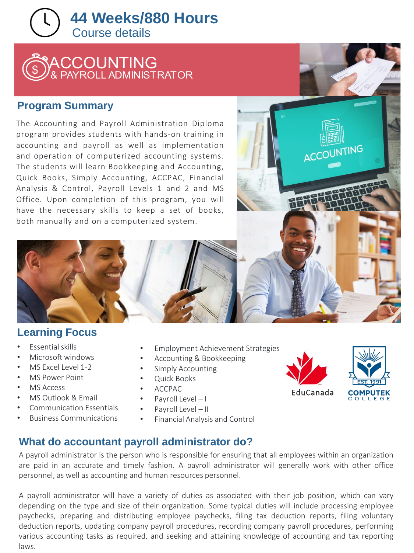# **44 Weeks/880 Hours**  Course details



### **Program Summary**

The Accounting and Payroll Administration Diploma program provides students with hands-on training in accounting and payroll as well as implementation and operation of computerized accounting systems. The students will learn Bookkeeping and Accounting, Quick Books, Simply Accounting, ACCPAC, Financial Analysis & Control, Payroll Levels 1 and 2 and MS Office. Upon completion of this program, you will have the necessary skills to keep a set of books, both manually and on a computerized system.



## **Learning Focus**

- Essential skills
- Microsoft windows
- MS Excel Level 1-2
- MS Power Point
- MS Access
- MS Outlook & Email
- Communication Essentials
- Business Communications
- Employment Achievement Strategies
- Accounting & Bookkeeping
- Simply Accounting
- Quick Books
- ACCPAC
- Payroll Level I
- Payroll Level II
- Financial Analysis and Control





## **What do accountant payroll administrator do?**

A payroll administrator is the person who is responsible for ensuring that all employees within an organization are paid in an accurate and timely fashion. A payroll administrator will generally work with other office personnel, as well as accounting and human resources personnel.

A payroll administrator will have a variety of duties as associated with their job position, which can vary depending on the type and size of their organization. Some typical duties will include processing employee paychecks, preparing and distributing employee paychecks, filing tax deduction reports, filing voluntary deduction reports, updating company payroll procedures, recording company payroll procedures, performing various accounting tasks as required, and seeking and attaining knowledge of accounting and tax reporting laws.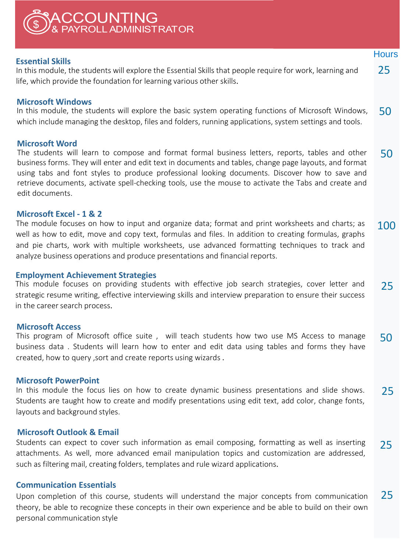| CCOUNTING<br>PAYROLL ADMINISTRATOR                                                                                                                                                                                                                                                                                                                                                                                                                               |              |
|------------------------------------------------------------------------------------------------------------------------------------------------------------------------------------------------------------------------------------------------------------------------------------------------------------------------------------------------------------------------------------------------------------------------------------------------------------------|--------------|
|                                                                                                                                                                                                                                                                                                                                                                                                                                                                  | <b>Hours</b> |
| <b>Essential Skills</b><br>In this module, the students will explore the Essential Skills that people require for work, learning and<br>life, which provide the foundation for learning various other skills.                                                                                                                                                                                                                                                    | 25           |
| <b>Microsoft Windows</b><br>In this module, the students will explore the basic system operating functions of Microsoft Windows,<br>which include managing the desktop, files and folders, running applications, system settings and tools.                                                                                                                                                                                                                      | 50           |
| <b>Microsoft Word</b><br>The students will learn to compose and format formal business letters, reports, tables and other<br>business forms. They will enter and edit text in documents and tables, change page layouts, and format<br>using tabs and font styles to produce professional looking documents. Discover how to save and<br>retrieve documents, activate spell-checking tools, use the mouse to activate the Tabs and create and<br>edit documents. | 50           |
| <b>Microsoft Excel - 1 &amp; 2</b><br>The module focuses on how to input and organize data; format and print worksheets and charts; as<br>well as how to edit, move and copy text, formulas and files. In addition to creating formulas, graphs<br>and pie charts, work with multiple worksheets, use advanced formatting techniques to track and<br>analyze business operations and produce presentations and financial reports.                                | 100          |
| <b>Employment Achievement Strategies</b><br>This module focuses on providing students with effective job search strategies, cover letter and<br>strategic resume writing, effective interviewing skills and interview preparation to ensure their success<br>in the career search process.                                                                                                                                                                       | 25           |
| <b>Microsoft Access</b><br>This program of Microsoft office suite, will teach students how two use MS Access to manage<br>business data. Students will learn how to enter and edit data using tables and forms they have<br>created, how to query, sort and create reports using wizards.                                                                                                                                                                        | 50           |
| <b>Microsoft PowerPoint</b><br>In this module the focus lies on how to create dynamic business presentations and slide shows.<br>Students are taught how to create and modify presentations using edit text, add color, change fonts,<br>layouts and background styles.                                                                                                                                                                                          | 25           |
| <b>Microsoft Outlook &amp; Email</b>                                                                                                                                                                                                                                                                                                                                                                                                                             |              |

Students can expect to cover such information as email composing, formatting as well as inserting attachments. As well, more advanced email manipulation topics and customization are addressed, such as filtering mail, creating folders, templates and rule wizard applications. 25

### **Communication Essentials**

Upon completion of this course, students will understand the major concepts from communication theory, be able to recognize these concepts in their own experience and be able to build on their own personal communication style 25